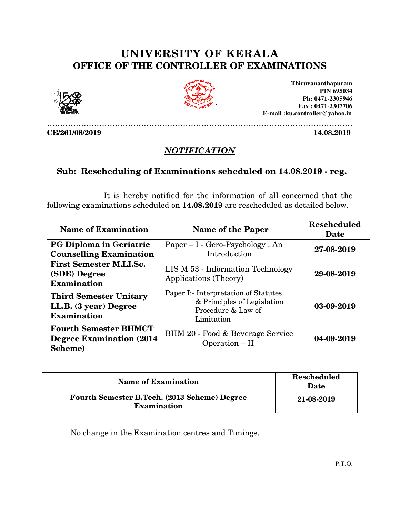## UNIVERSITY OF KERALA OF OFFICE OF THE CONTROLLER OF EXAMINATIONS OFFICE OF





## **NOTIFICATION**

## Sub: Rescheduling of Examinations scheduled on 14.08.2019 - reg.

|                                                                              |                                                                                                                                                          | Thiruvananthapuram<br><b>PIN 695034</b><br>Ph: 0471-2305946<br>Fax: 0471-2307706<br>E-mail:ku.controller@yahoo.in |  |  |
|------------------------------------------------------------------------------|----------------------------------------------------------------------------------------------------------------------------------------------------------|-------------------------------------------------------------------------------------------------------------------|--|--|
| CE/261/08/2019                                                               |                                                                                                                                                          | 14.08.2019                                                                                                        |  |  |
|                                                                              | NOTIFICATION                                                                                                                                             |                                                                                                                   |  |  |
| Sub: Rescheduling of Examinations scheduled on 14.08.2019 - reg.             |                                                                                                                                                          |                                                                                                                   |  |  |
|                                                                              | It is hereby notified for the information of all concerned that the<br>following examinations scheduled on 14.08.2019 are rescheduled as detailed below. |                                                                                                                   |  |  |
| <b>Name of Examination</b>                                                   | <b>Name of the Paper</b>                                                                                                                                 | <b>Rescheduled</b><br>Date                                                                                        |  |  |
| <b>PG Diploma in Geriatric</b><br><b>Counselling Examination</b>             | $Paper - I - Gero-Psychology: An$<br>Introduction                                                                                                        | 27-08-2019                                                                                                        |  |  |
| <b>First Semester M.LI.Sc.</b><br>(SDE) Degree<br><b>Examination</b>         | LIS M 53 - Information Technology<br>Applications (Theory)                                                                                               | 29-08-2019                                                                                                        |  |  |
| <b>Third Semester Unitary</b><br>LL.B. (3 year) Degree<br><b>Examination</b> | Paper I:- Interpretation of Statutes<br>& Principles of Legislation<br>Procedure & Law of<br>Limitation                                                  | 03-09-2019                                                                                                        |  |  |
| <b>Fourth Semester BHMCT</b><br><b>Degree Examination (2014)</b><br>Scheme)  | BHM 20 - Food & Beverage Service<br>Operation - II                                                                                                       | 04-09-2019                                                                                                        |  |  |
|                                                                              |                                                                                                                                                          |                                                                                                                   |  |  |
| <b>Name of Examination</b>                                                   |                                                                                                                                                          | <b>Rescheduled</b><br>Date                                                                                        |  |  |
| Fourth Semester B.Tech. (2013 Scheme) Degree<br><b>Examination</b>           |                                                                                                                                                          | 21-08-2019                                                                                                        |  |  |
|                                                                              | No change in the Examination centres and Timings.                                                                                                        |                                                                                                                   |  |  |

| <b>Name of Examination</b>                                         | <b>Rescheduled</b><br>Date |
|--------------------------------------------------------------------|----------------------------|
| Fourth Semester B.Tech. (2013 Scheme) Degree<br><b>Examination</b> | 21-08-2019                 |